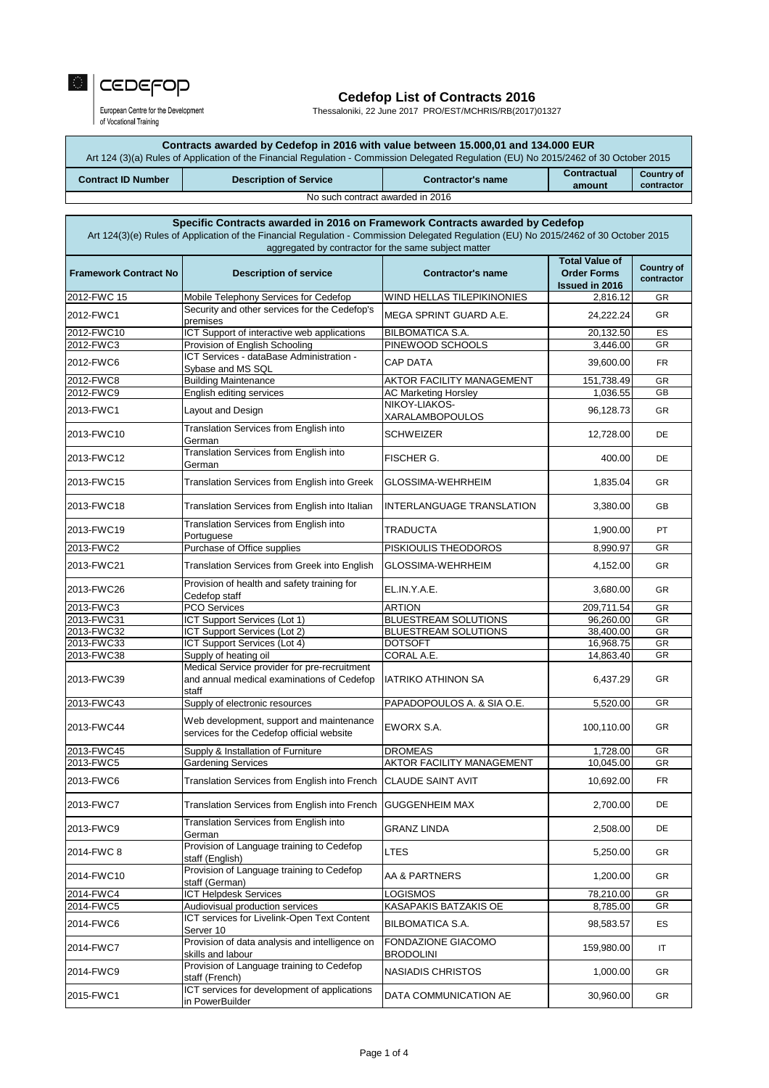| Specific Contracts awarded in 2016 on Framework Contracts awarded by Cedefop<br>Art 124(3)(e) Rules of Application of the Financial Regulation - Commission Delegated Regulation (EU) No 2015/2462 of 30 October 2015<br>aggregated by contractor for the same subject matter |                                                                                                     |                                  |                                                                      |                                 |
|-------------------------------------------------------------------------------------------------------------------------------------------------------------------------------------------------------------------------------------------------------------------------------|-----------------------------------------------------------------------------------------------------|----------------------------------|----------------------------------------------------------------------|---------------------------------|
| <b>Framework Contract No</b>                                                                                                                                                                                                                                                  | <b>Description of service</b>                                                                       | <b>Contractor's name</b>         | <b>Total Value of</b><br><b>Order Forms</b><br><b>Issued in 2016</b> | <b>Country of</b><br>contractor |
| 2012-FWC 15                                                                                                                                                                                                                                                                   | Mobile Telephony Services for Cedefop                                                               | WIND HELLAS TILEPIKINONIES       | 2,816.12                                                             | GR                              |
| 2012-FWC1                                                                                                                                                                                                                                                                     | Security and other services for the Cedefop's<br>premises                                           | IMEGA SPRINT GUARD A.E.          | 24,222.24                                                            | <b>GR</b>                       |
| 2012-FWC10                                                                                                                                                                                                                                                                    | ICT Support of interactive web applications                                                         | <b>BILBOMATICA S.A.</b>          | 20,132.50                                                            | ES                              |
| 2012-FWC3                                                                                                                                                                                                                                                                     | Provision of English Schooling                                                                      | PINEWOOD SCHOOLS                 | 3,446.00                                                             | GR                              |
| 2012-FWC6                                                                                                                                                                                                                                                                     | ICT Services - dataBase Administration -<br>Sybase and MS SQL                                       | <b>CAP DATA</b>                  | 39,600.00                                                            | <b>FR</b>                       |
| 2012-FWC8                                                                                                                                                                                                                                                                     | <b>Building Maintenance</b>                                                                         | <b>AKTOR FACILITY MANAGEMENT</b> | 151,738.49                                                           | GR                              |
| 2012-FWC9                                                                                                                                                                                                                                                                     | English editing services                                                                            | <b>AC Marketing Horsley</b>      | 1,036.55                                                             | <b>GB</b>                       |
| 2013-FWC1                                                                                                                                                                                                                                                                     | Layout and Design                                                                                   | NIKOY-LIAKOS-<br>XARALAMBOPOULOS | 96,128.73                                                            | <b>GR</b>                       |
| 2013-FWC10                                                                                                                                                                                                                                                                    | <b>Translation Services from English into</b><br>German                                             | <b>SCHWEIZER</b>                 | 12,728.00                                                            | DE                              |
| 2013-FWC12                                                                                                                                                                                                                                                                    | <b>Translation Services from English into</b><br>German                                             | <b>FISCHER G.</b>                | 400.00                                                               | DE                              |
| 2013-FWC15                                                                                                                                                                                                                                                                    | Translation Services from English into Greek                                                        | <b>GLOSSIMA-WEHRHEIM</b>         | 1,835.04                                                             | <b>GR</b>                       |
| 2013-FWC18                                                                                                                                                                                                                                                                    | Translation Services from English into Italian                                                      | <b>INTERLANGUAGE TRANSLATION</b> | 3,380.00                                                             | GB                              |
| 2013-FWC19                                                                                                                                                                                                                                                                    | <b>Translation Services from English into</b><br>Portuguese                                         | <b>TRADUCTA</b>                  | 1,900.00                                                             | PT                              |
| 2013-FWC2                                                                                                                                                                                                                                                                     | Purchase of Office supplies                                                                         | PISKIOULIS THEODOROS             | 8,990.97                                                             | GR                              |
| 2013-FWC21                                                                                                                                                                                                                                                                    | Translation Services from Greek into English                                                        | <b>GLOSSIMA-WEHRHEIM</b>         | 4,152.00                                                             | <b>GR</b>                       |
| 2013-FWC26                                                                                                                                                                                                                                                                    | Provision of health and safety training for<br>Cedefop staff                                        | EL.IN.Y.A.E.                     | 3,680.00                                                             | <b>GR</b>                       |
| 2013-FWC3                                                                                                                                                                                                                                                                     | <b>PCO Services</b>                                                                                 | <b>ARTION</b>                    | 209,711.54                                                           | GR                              |
| 2013-FWC31                                                                                                                                                                                                                                                                    | ICT Support Services (Lot 1)                                                                        | <b>BLUESTREAM SOLUTIONS</b>      | 96,260.00                                                            | GR                              |
| 2013-FWC32                                                                                                                                                                                                                                                                    | ICT Support Services (Lot 2)                                                                        | <b>BLUESTREAM SOLUTIONS</b>      | 38,400.00                                                            | GR                              |
| 2013-FWC33                                                                                                                                                                                                                                                                    | ICT Support Services (Lot 4)                                                                        | <b>DOTSOFT</b>                   | 16,968.75                                                            | GR                              |
| 2013-FWC38                                                                                                                                                                                                                                                                    | Supply of heating oil                                                                               | CORAL A.E.                       | 14,863.40                                                            | <b>GR</b>                       |
| 2013-FWC39                                                                                                                                                                                                                                                                    | Medical Service provider for pre-recruitment<br>and annual medical examinations of Cedefop<br>staff | <b>IATRIKO ATHINON SA</b>        | 6,437.29                                                             | <b>GR</b>                       |
| 2013-FWC43                                                                                                                                                                                                                                                                    | Supply of electronic resources                                                                      | PAPADOPOULOS A. & SIA O.E.       | 5,520.00                                                             | GR                              |
| 2013-FWC44                                                                                                                                                                                                                                                                    | Web development, support and maintenance<br>services for the Cedefop official website               | EWORX S.A.                       | 100,110.00                                                           | GR                              |
| 2013-FWC45                                                                                                                                                                                                                                                                    | Supply & Installation of Furniture                                                                  | <b>DROMEAS</b>                   | 1,728.00                                                             | GR                              |
| 2013-FWC5                                                                                                                                                                                                                                                                     | <b>Gardening Services</b>                                                                           | AKTOR FACILITY MANAGEMENT        | 10,045.00                                                            | <b>GR</b>                       |
| 2013-FWC6                                                                                                                                                                                                                                                                     | Translation Services from English into French                                                       | <b>CLAUDE SAINT AVIT</b>         | 10,692.00                                                            | FR                              |
| 2013-FWC7                                                                                                                                                                                                                                                                     | Translation Services from English into French                                                       | <b>GUGGENHEIM MAX</b>            | 2,700.00                                                             | DE                              |
| 2013-FWC9                                                                                                                                                                                                                                                                     | Translation Services from English into<br>German                                                    | <b>GRANZ LINDA</b>               | 2,508.00                                                             | DE                              |
|                                                                                                                                                                                                                                                                               |                                                                                                     |                                  |                                                                      |                                 |

| Contracts awarded by Cedefop in 2016 with value between 15.000,01 and 134.000 EUR<br>Art 124 (3)(a) Rules of Application of the Financial Regulation - Commission Delegated Regulation (EU) No 2015/2462 of 30 October 2015 |                          |                              |                                 |  |  |
|-----------------------------------------------------------------------------------------------------------------------------------------------------------------------------------------------------------------------------|--------------------------|------------------------------|---------------------------------|--|--|
| <b>Contract ID Number</b>                                                                                                                                                                                                   | <b>Contractor's name</b> | <b>Contractual</b><br>amount | <b>Country of</b><br>contractor |  |  |
| No such contract awarded in 2016                                                                                                                                                                                            |                          |                              |                                 |  |  |

| 2014-FWC 8 | Provision of Language training to Cedefop<br>staff (English)        | LTES                                          | 5,250.00   | <b>GR</b> |
|------------|---------------------------------------------------------------------|-----------------------------------------------|------------|-----------|
| 2014-FWC10 | Provision of Language training to Cedefop<br>staff (German)         | IAA & PARTNERS                                | 1,200.00   | <b>GR</b> |
| 2014-FWC4  | <b>ICT Helpdesk Services</b>                                        | <b>LOGISMOS</b>                               | 78,210.00  | <b>GR</b> |
| 2014-FWC5  | Audiovisual production services                                     | <b>KASAPAKIS BATZAKIS OE</b>                  | 8,785.00   | <b>GR</b> |
| 2014-FWC6  | ICT services for Livelink-Open Text Content<br>Server 10            | <b>BILBOMATICA S.A.</b>                       | 98,583.57  | <b>ES</b> |
| 2014-FWC7  | Provision of data analysis and intelligence on<br>skills and labour | <b>FONDAZIONE GIACOMO</b><br><b>BRODOLINI</b> | 159,980.00 | IT        |
| 2014-FWC9  | Provision of Language training to Cedefop<br>staff (French)         | <b>NASIADIS CHRISTOS</b>                      | 1,000.00   | <b>GR</b> |
| 2015-FWC1  | ICT services for development of applications<br>in PowerBuilder     | DATA COMMUNICATION AE                         | 30,960.00  | <b>GR</b> |



## **Cedefop List of Contracts 2016**

Thessaloniki, 22 June 2017 PRO/EST/MCHRIS/RB(2017)01327

European Centre for the Development of Vocational Training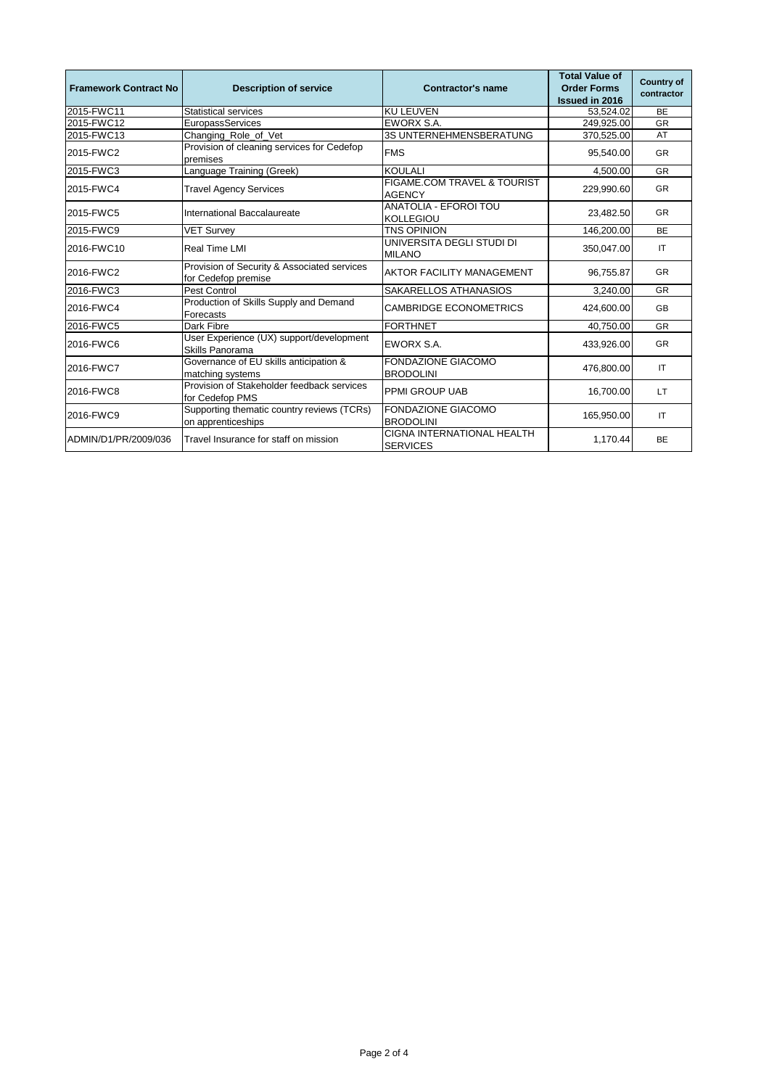| <b>Framework Contract No</b> | <b>Description of service</b>                                      | <b>Contractor's name</b>                             | <b>Total Value of</b><br><b>Order Forms</b> | <b>Country of</b><br>contractor |
|------------------------------|--------------------------------------------------------------------|------------------------------------------------------|---------------------------------------------|---------------------------------|
|                              |                                                                    |                                                      | <b>Issued in 2016</b>                       |                                 |
| 2015-FWC11                   | <b>Statistical services</b>                                        | <b>KU LEUVEN</b>                                     | 53,524.02                                   | <b>BE</b>                       |
| 2015-FWC12                   | EuropassServices                                                   | <b>EWORX S.A.</b>                                    | 249,925.00                                  | <b>GR</b>                       |
| 2015-FWC13                   | Changing_Role_of_Vet                                               | 3S UNTERNEHMENSBERATUNG                              | 370,525.00                                  | AT                              |
| 2015-FWC2                    | Provision of cleaning services for Cedefop<br>premises             | <b>FMS</b>                                           | 95,540.00                                   | <b>GR</b>                       |
| 2015-FWC3                    | Language Training (Greek)                                          | <b>KOULALI</b>                                       | 4,500.00                                    | <b>GR</b>                       |
| 2015-FWC4                    | <b>Travel Agency Services</b>                                      | FIGAME.COM TRAVEL & TOURIST<br><b>AGENCY</b>         | 229,990.60                                  | <b>GR</b>                       |
| 2015-FWC5                    | International Baccalaureate                                        | <b>ANATOLIA - EFOROI TOU</b><br><b>KOLLEGIOU</b>     | 23,482.50                                   | <b>GR</b>                       |
| 2015-FWC9                    | <b>VET Survey</b>                                                  | <b>TNS OPINION</b>                                   | 146,200.00                                  | <b>BE</b>                       |
| 2016-FWC10                   | <b>Real Time LMI</b>                                               | UNIVERSITA DEGLI STUDI DI<br><b>MILANO</b>           | 350,047.00                                  | IT                              |
| 2016-FWC2                    | Provision of Security & Associated services<br>for Cedefop premise | <b>AKTOR FACILITY MANAGEMENT</b>                     | 96,755.87                                   | <b>GR</b>                       |
| 2016-FWC3                    | <b>Pest Control</b>                                                | SAKARELLOS ATHANASIOS                                | 3,240.00                                    | <b>GR</b>                       |
| 2016-FWC4                    | Production of Skills Supply and Demand<br>Forecasts                | <b>CAMBRIDGE ECONOMETRICS</b>                        | 424,600.00                                  | <b>GB</b>                       |
| 2016-FWC5                    | Dark Fibre                                                         | <b>FORTHNET</b>                                      | 40,750.00                                   | <b>GR</b>                       |
| 2016-FWC6                    | User Experience (UX) support/development<br>Skills Panorama        | <b>EWORX S.A.</b>                                    | 433,926.00                                  | <b>GR</b>                       |
| 2016-FWC7                    | Governance of EU skills anticipation &<br>matching systems         | FONDAZIONE GIACOMO<br><b>BRODOLINI</b>               | 476,800.00                                  | IT                              |
| 2016-FWC8                    | Provision of Stakeholder feedback services<br>for Cedefop PMS      | <b>PPMI GROUP UAB</b>                                | 16,700.00                                   | <b>LT</b>                       |
| 2016-FWC9                    | Supporting thematic country reviews (TCRs)<br>on apprenticeships   | <b>FONDAZIONE GIACOMO</b><br><b>BRODOLINI</b>        | 165,950.00                                  | IT.                             |
| ADMIN/D1/PR/2009/036         | Travel Insurance for staff on mission                              | <b>CIGNA INTERNATIONAL HEALTH</b><br><b>SERVICES</b> | 1,170.44                                    | BE                              |

Page 2 of 4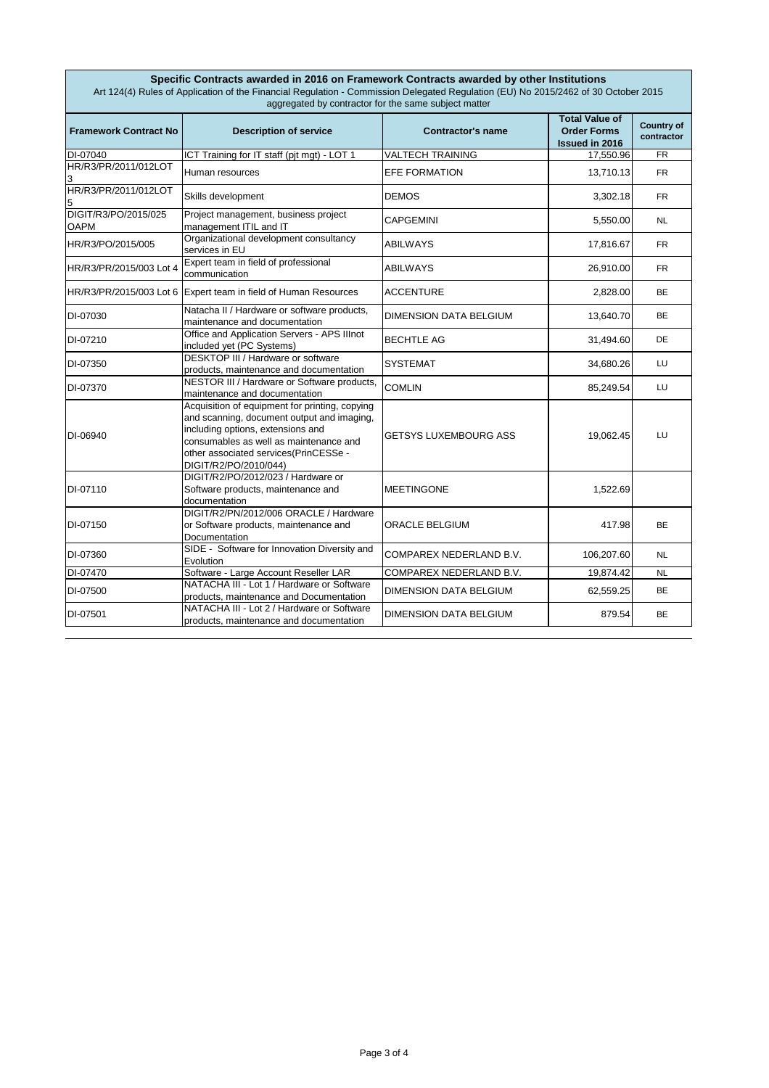| Specific Contracts awarded in 2016 on Framework Contracts awarded by other Institutions<br>Art 124(4) Rules of Application of the Financial Regulation - Commission Delegated Regulation (EU) No 2015/2462 of 30 October 2015<br>aggregated by contractor for the same subject matter |                                                                                                                                                                                                                                               |                               |                                                                      |                                 |
|---------------------------------------------------------------------------------------------------------------------------------------------------------------------------------------------------------------------------------------------------------------------------------------|-----------------------------------------------------------------------------------------------------------------------------------------------------------------------------------------------------------------------------------------------|-------------------------------|----------------------------------------------------------------------|---------------------------------|
| <b>Framework Contract No</b>                                                                                                                                                                                                                                                          | <b>Description of service</b>                                                                                                                                                                                                                 | <b>Contractor's name</b>      | <b>Total Value of</b><br><b>Order Forms</b><br><b>Issued in 2016</b> | <b>Country of</b><br>contractor |
| DI-07040                                                                                                                                                                                                                                                                              | ICT Training for IT staff (pjt mgt) - LOT 1                                                                                                                                                                                                   | <b>VALTECH TRAINING</b>       | 17,550.96                                                            | <b>FR</b>                       |
| HR/R3/PR/2011/012LOT                                                                                                                                                                                                                                                                  | Human resources                                                                                                                                                                                                                               | <b>EFE FORMATION</b>          | 13,710.13                                                            | <b>FR</b>                       |
| HR/R3/PR/2011/012LOT                                                                                                                                                                                                                                                                  | Skills development                                                                                                                                                                                                                            | <b>DEMOS</b>                  | 3,302.18                                                             | <b>FR</b>                       |
| DIGIT/R3/PO/2015/025<br><b>OAPM</b>                                                                                                                                                                                                                                                   | Project management, business project<br>management ITIL and IT                                                                                                                                                                                | <b>CAPGEMINI</b>              | 5,550.00                                                             | <b>NL</b>                       |
| HR/R3/PO/2015/005                                                                                                                                                                                                                                                                     | Organizational development consultancy<br>services in EU                                                                                                                                                                                      | <b>ABILWAYS</b>               | 17,816.67                                                            | <b>FR</b>                       |
| HR/R3/PR/2015/003 Lot 4                                                                                                                                                                                                                                                               | Expert team in field of professional<br>communication                                                                                                                                                                                         | <b>ABILWAYS</b>               | 26,910.00                                                            | <b>FR</b>                       |
|                                                                                                                                                                                                                                                                                       | HR/R3/PR/2015/003 Lot 6 Expert team in field of Human Resources                                                                                                                                                                               | <b>ACCENTURE</b>              | 2,828.00                                                             | <b>BE</b>                       |
| DI-07030                                                                                                                                                                                                                                                                              | Natacha II / Hardware or software products,<br>maintenance and documentation                                                                                                                                                                  | <b>DIMENSION DATA BELGIUM</b> | 13,640.70                                                            | <b>BE</b>                       |
| DI-07210                                                                                                                                                                                                                                                                              | Office and Application Servers - APS Illnot<br>included yet (PC Systems)                                                                                                                                                                      | <b>BECHTLE AG</b>             | 31,494.60                                                            | DE                              |
| DI-07350                                                                                                                                                                                                                                                                              | <b>DESKTOP III / Hardware or software</b><br>products, maintenance and documentation                                                                                                                                                          | <b>SYSTEMAT</b>               | 34,680.26                                                            | LU                              |
| DI-07370                                                                                                                                                                                                                                                                              | NESTOR III / Hardware or Software products,<br>maintenance and documentation                                                                                                                                                                  | <b>COMLIN</b>                 | 85,249.54                                                            | LU                              |
| DI-06940                                                                                                                                                                                                                                                                              | Acquisition of equipment for printing, copying<br>and scanning, document output and imaging,<br>including options, extensions and<br>consumables as well as maintenance and<br>other associated services(PrinCESSe -<br>DIGIT/R2/PO/2010/044) | <b>GETSYS LUXEMBOURG ASS</b>  | 19,062.45                                                            | LU                              |
| DI-07110                                                                                                                                                                                                                                                                              | DIGIT/R2/PO/2012/023 / Hardware or<br>Software products, maintenance and<br>documentation                                                                                                                                                     | <b>MEETINGONE</b>             | 1,522.69                                                             |                                 |
| DI-07150                                                                                                                                                                                                                                                                              | DIGIT/R2/PN/2012/006 ORACLE / Hardware<br>or Software products, maintenance and<br>Documentation                                                                                                                                              | <b>ORACLE BELGIUM</b>         | 417.98                                                               | <b>BE</b>                       |
| DI-07360                                                                                                                                                                                                                                                                              | SIDE - Software for Innovation Diversity and<br>Evolution                                                                                                                                                                                     | COMPAREX NEDERLAND B.V.       | 106,207.60                                                           | <b>NL</b>                       |
| DI-07470                                                                                                                                                                                                                                                                              | Software - Large Account Reseller LAR                                                                                                                                                                                                         | COMPAREX NEDERLAND B.V.       | 19,874.42                                                            | <b>NL</b>                       |
| DI-07500                                                                                                                                                                                                                                                                              | NATACHA III - Lot 1 / Hardware or Software<br>products, maintenance and Documentation                                                                                                                                                         | <b>DIMENSION DATA BELGIUM</b> | 62,559.25                                                            | <b>BE</b>                       |
| DI-07501                                                                                                                                                                                                                                                                              | NATACHA III - Lot 2 / Hardware or Software<br>products, maintenance and documentation                                                                                                                                                         | <b>DIMENSION DATA BELGIUM</b> | 879.54                                                               | BE                              |

Page 3 of 4